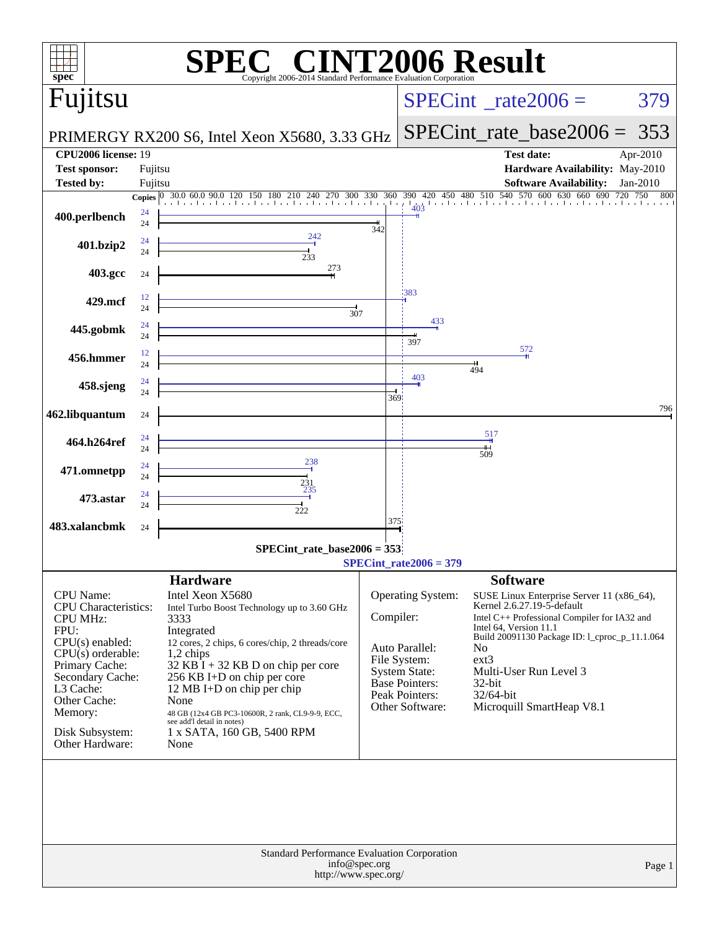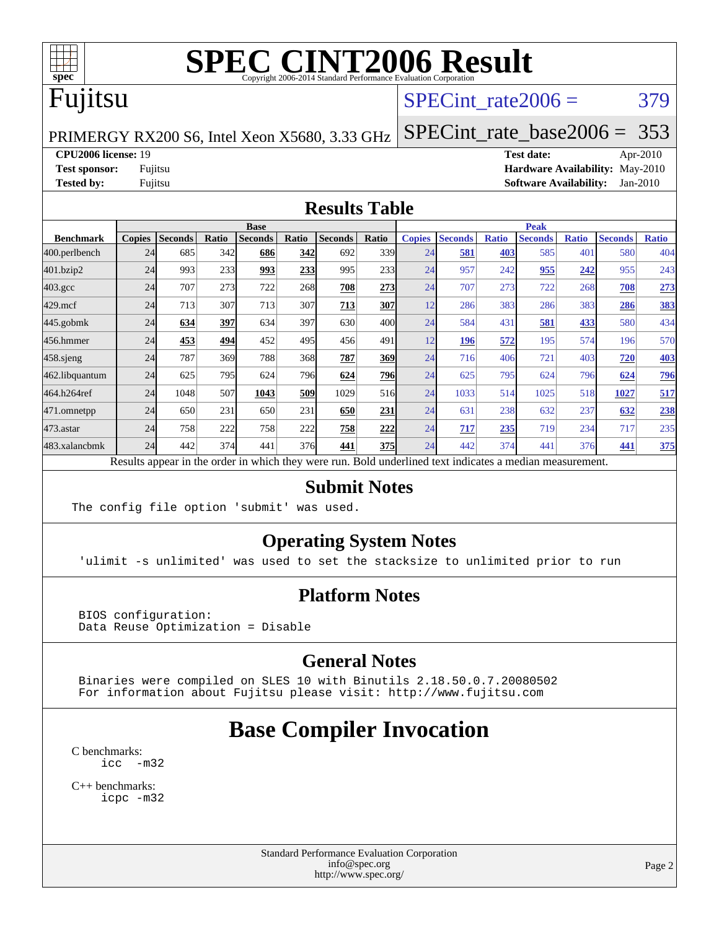

### Fujitsu

#### SPECint rate $2006 = 379$

PRIMERGY RX200 S6, Intel Xeon X5680, 3.33 GHz

[SPECint\\_rate\\_base2006 =](http://www.spec.org/auto/cpu2006/Docs/result-fields.html#SPECintratebase2006) 353

#### **[CPU2006 license:](http://www.spec.org/auto/cpu2006/Docs/result-fields.html#CPU2006license)** 19 **[Test date:](http://www.spec.org/auto/cpu2006/Docs/result-fields.html#Testdate)** Apr-2010

**[Test sponsor:](http://www.spec.org/auto/cpu2006/Docs/result-fields.html#Testsponsor)** Fujitsu **[Hardware Availability:](http://www.spec.org/auto/cpu2006/Docs/result-fields.html#HardwareAvailability)** May-2010 **[Tested by:](http://www.spec.org/auto/cpu2006/Docs/result-fields.html#Testedby)** Fujitsu **[Software Availability:](http://www.spec.org/auto/cpu2006/Docs/result-fields.html#SoftwareAvailability)** Jan-2010

#### **[Results Table](http://www.spec.org/auto/cpu2006/Docs/result-fields.html#ResultsTable)**

|                  | <b>Base</b>   |                |       |                |       |                                                                                                          |       | <b>Peak</b>   |                |              |                |              |                |              |
|------------------|---------------|----------------|-------|----------------|-------|----------------------------------------------------------------------------------------------------------|-------|---------------|----------------|--------------|----------------|--------------|----------------|--------------|
| <b>Benchmark</b> | <b>Copies</b> | <b>Seconds</b> | Ratio | <b>Seconds</b> | Ratio | <b>Seconds</b>                                                                                           | Ratio | <b>Copies</b> | <b>Seconds</b> | <b>Ratio</b> | <b>Seconds</b> | <b>Ratio</b> | <b>Seconds</b> | <b>Ratio</b> |
| 400.perlbench    | 24            | 685            | 342   | 686            | 342   | 692                                                                                                      | 339   | 24            | 581            | 403          | 585            | 401          | 580            | 404          |
| 401.bzip2        | 24            | 993            | 233   | 993            | 233   | 995                                                                                                      | 233   | 24            | 957            | 242          | 955            | 242          | 955            | 243          |
| $403.\text{gcc}$ | 24            | 707            | 273   | 722            | 268   | 708                                                                                                      | 273   | 24            | 707            | 273          | 722            | 268          | 708            | 273          |
| $429$ .mcf       | 24            | 713            | 307   | 713            | 307   | 713                                                                                                      | 307   | 12            | 286            | 383          | 286            | 383          | 286            | <u>383</u>   |
| $445$ .gobm $k$  | 24            | 634            | 397   | 634            | 397   | 630                                                                                                      | 400l  | 24            | 584            | 431          | 581            | 433          | 580            | 434          |
| 456.hmmer        | 24            | 453            | 494   | 452            | 495   | 456                                                                                                      | 491   | 12            | 196            | 572          | 195            | 574          | 196            | 570          |
| $458$ .sjeng     | 24            | 787            | 369   | 788            | 368   | 787                                                                                                      | 369   | 24            | 716            | 406          | 721            | 403          | 720            | <b>403</b>   |
| 462.libquantum   | 24            | 625            | 795   | 624            | 796   | 624                                                                                                      | 796   | 24            | 625            | 795          | 624            | 796          | 624            | <b>796</b>   |
| 464.h264ref      | 24            | 1048           | 507   | 1043           | 509   | 1029                                                                                                     | 516   | 24            | 1033           | 514          | 1025           | 518          | 1027           | 517          |
| 471.omnetpp      | 24            | 650            | 231   | 650            | 231   | 650                                                                                                      | 231   | 24            | 631            | 238          | 632            | 237          | 632            | 238          |
| $473$ . astar    | 24            | 758            | 222   | 758            | 222   | 758                                                                                                      | 222   | 24            | 717            | 235          | 719            | 234          | 717            | 235          |
| 483.xalancbmk    | 24            | 442            | 374   | 441            | 376   | 441                                                                                                      | 375   | 24            | 442            | 374          | 441            | 376          | 441            | 375          |
|                  |               |                |       |                |       | Results appear in the order in which they were run. Bold underlined text indicates a median measurement. |       |               |                |              |                |              |                |              |

#### **[Submit Notes](http://www.spec.org/auto/cpu2006/Docs/result-fields.html#SubmitNotes)**

The config file option 'submit' was used.

#### **[Operating System Notes](http://www.spec.org/auto/cpu2006/Docs/result-fields.html#OperatingSystemNotes)**

'ulimit -s unlimited' was used to set the stacksize to unlimited prior to run

#### **[Platform Notes](http://www.spec.org/auto/cpu2006/Docs/result-fields.html#PlatformNotes)**

 BIOS configuration: Data Reuse Optimization = Disable

#### **[General Notes](http://www.spec.org/auto/cpu2006/Docs/result-fields.html#GeneralNotes)**

 Binaries were compiled on SLES 10 with Binutils 2.18.50.0.7.20080502 For information about Fujitsu please visit: <http://www.fujitsu.com>

### **[Base Compiler Invocation](http://www.spec.org/auto/cpu2006/Docs/result-fields.html#BaseCompilerInvocation)**

[C benchmarks](http://www.spec.org/auto/cpu2006/Docs/result-fields.html#Cbenchmarks): [icc -m32](http://www.spec.org/cpu2006/results/res2010q3/cpu2006-20100706-12310.flags.html#user_CCbase_intel_icc_32bit_5ff4a39e364c98233615fdd38438c6f2)

[C++ benchmarks:](http://www.spec.org/auto/cpu2006/Docs/result-fields.html#CXXbenchmarks) [icpc -m32](http://www.spec.org/cpu2006/results/res2010q3/cpu2006-20100706-12310.flags.html#user_CXXbase_intel_icpc_32bit_4e5a5ef1a53fd332b3c49e69c3330699)

> Standard Performance Evaluation Corporation [info@spec.org](mailto:info@spec.org) <http://www.spec.org/>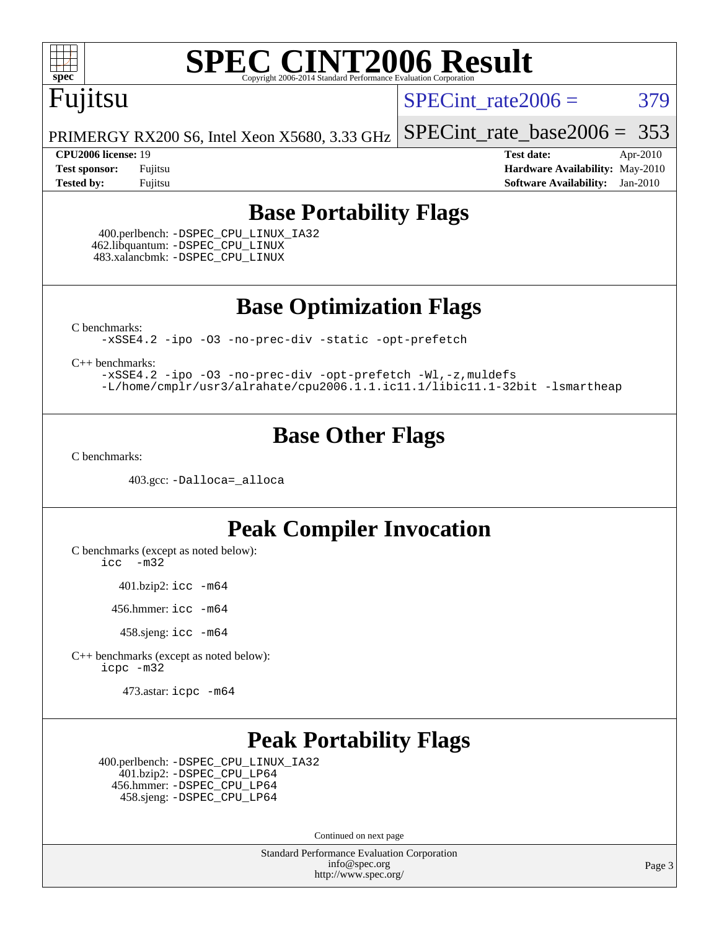

## Fujitsu

SPECint rate $2006 = 379$ 

PRIMERGY RX200 S6, Intel Xeon X5680, 3.33 GHz [SPECint\\_rate\\_base2006 =](http://www.spec.org/auto/cpu2006/Docs/result-fields.html#SPECintratebase2006) 353

**[CPU2006 license:](http://www.spec.org/auto/cpu2006/Docs/result-fields.html#CPU2006license)** 19 **[Test date:](http://www.spec.org/auto/cpu2006/Docs/result-fields.html#Testdate)** Apr-2010 **[Test sponsor:](http://www.spec.org/auto/cpu2006/Docs/result-fields.html#Testsponsor)** Fujitsu **[Hardware Availability:](http://www.spec.org/auto/cpu2006/Docs/result-fields.html#HardwareAvailability)** May-2010 **[Tested by:](http://www.spec.org/auto/cpu2006/Docs/result-fields.html#Testedby)** Fujitsu **[Software Availability:](http://www.spec.org/auto/cpu2006/Docs/result-fields.html#SoftwareAvailability)** Jan-2010

#### **[Base Portability Flags](http://www.spec.org/auto/cpu2006/Docs/result-fields.html#BasePortabilityFlags)**

 400.perlbench: [-DSPEC\\_CPU\\_LINUX\\_IA32](http://www.spec.org/cpu2006/results/res2010q3/cpu2006-20100706-12310.flags.html#b400.perlbench_baseCPORTABILITY_DSPEC_CPU_LINUX_IA32) 462.libquantum: [-DSPEC\\_CPU\\_LINUX](http://www.spec.org/cpu2006/results/res2010q3/cpu2006-20100706-12310.flags.html#b462.libquantum_baseCPORTABILITY_DSPEC_CPU_LINUX) 483.xalancbmk: [-DSPEC\\_CPU\\_LINUX](http://www.spec.org/cpu2006/results/res2010q3/cpu2006-20100706-12310.flags.html#b483.xalancbmk_baseCXXPORTABILITY_DSPEC_CPU_LINUX)

**[Base Optimization Flags](http://www.spec.org/auto/cpu2006/Docs/result-fields.html#BaseOptimizationFlags)**

[C benchmarks](http://www.spec.org/auto/cpu2006/Docs/result-fields.html#Cbenchmarks):

[-xSSE4.2](http://www.spec.org/cpu2006/results/res2010q3/cpu2006-20100706-12310.flags.html#user_CCbase_f-xSSE42_f91528193cf0b216347adb8b939d4107) [-ipo](http://www.spec.org/cpu2006/results/res2010q3/cpu2006-20100706-12310.flags.html#user_CCbase_f-ipo) [-O3](http://www.spec.org/cpu2006/results/res2010q3/cpu2006-20100706-12310.flags.html#user_CCbase_f-O3) [-no-prec-div](http://www.spec.org/cpu2006/results/res2010q3/cpu2006-20100706-12310.flags.html#user_CCbase_f-no-prec-div) [-static](http://www.spec.org/cpu2006/results/res2010q3/cpu2006-20100706-12310.flags.html#user_CCbase_f-static) [-opt-prefetch](http://www.spec.org/cpu2006/results/res2010q3/cpu2006-20100706-12310.flags.html#user_CCbase_f-opt-prefetch)

[C++ benchmarks:](http://www.spec.org/auto/cpu2006/Docs/result-fields.html#CXXbenchmarks)

[-xSSE4.2](http://www.spec.org/cpu2006/results/res2010q3/cpu2006-20100706-12310.flags.html#user_CXXbase_f-xSSE42_f91528193cf0b216347adb8b939d4107) [-ipo](http://www.spec.org/cpu2006/results/res2010q3/cpu2006-20100706-12310.flags.html#user_CXXbase_f-ipo) [-O3](http://www.spec.org/cpu2006/results/res2010q3/cpu2006-20100706-12310.flags.html#user_CXXbase_f-O3) [-no-prec-div](http://www.spec.org/cpu2006/results/res2010q3/cpu2006-20100706-12310.flags.html#user_CXXbase_f-no-prec-div) [-opt-prefetch](http://www.spec.org/cpu2006/results/res2010q3/cpu2006-20100706-12310.flags.html#user_CXXbase_f-opt-prefetch) [-Wl,-z,muldefs](http://www.spec.org/cpu2006/results/res2010q3/cpu2006-20100706-12310.flags.html#user_CXXbase_link_force_multiple1_74079c344b956b9658436fd1b6dd3a8a) [-L/home/cmplr/usr3/alrahate/cpu2006.1.1.ic11.1/libic11.1-32bit -lsmartheap](http://www.spec.org/cpu2006/results/res2010q3/cpu2006-20100706-12310.flags.html#user_CXXbase_SmartHeap_d86dffe4a79b79ef8890d5cce17030c3)

#### **[Base Other Flags](http://www.spec.org/auto/cpu2006/Docs/result-fields.html#BaseOtherFlags)**

[C benchmarks](http://www.spec.org/auto/cpu2006/Docs/result-fields.html#Cbenchmarks):

403.gcc: [-Dalloca=\\_alloca](http://www.spec.org/cpu2006/results/res2010q3/cpu2006-20100706-12310.flags.html#b403.gcc_baseEXTRA_CFLAGS_Dalloca_be3056838c12de2578596ca5467af7f3)

#### **[Peak Compiler Invocation](http://www.spec.org/auto/cpu2006/Docs/result-fields.html#PeakCompilerInvocation)**

[C benchmarks \(except as noted below\)](http://www.spec.org/auto/cpu2006/Docs/result-fields.html#Cbenchmarksexceptasnotedbelow):

[icc -m32](http://www.spec.org/cpu2006/results/res2010q3/cpu2006-20100706-12310.flags.html#user_CCpeak_intel_icc_32bit_5ff4a39e364c98233615fdd38438c6f2)

401.bzip2: [icc -m64](http://www.spec.org/cpu2006/results/res2010q3/cpu2006-20100706-12310.flags.html#user_peakCCLD401_bzip2_intel_icc_64bit_bda6cc9af1fdbb0edc3795bac97ada53)

456.hmmer: [icc -m64](http://www.spec.org/cpu2006/results/res2010q3/cpu2006-20100706-12310.flags.html#user_peakCCLD456_hmmer_intel_icc_64bit_bda6cc9af1fdbb0edc3795bac97ada53)

458.sjeng: [icc -m64](http://www.spec.org/cpu2006/results/res2010q3/cpu2006-20100706-12310.flags.html#user_peakCCLD458_sjeng_intel_icc_64bit_bda6cc9af1fdbb0edc3795bac97ada53)

[C++ benchmarks \(except as noted below\):](http://www.spec.org/auto/cpu2006/Docs/result-fields.html#CXXbenchmarksexceptasnotedbelow) [icpc -m32](http://www.spec.org/cpu2006/results/res2010q3/cpu2006-20100706-12310.flags.html#user_CXXpeak_intel_icpc_32bit_4e5a5ef1a53fd332b3c49e69c3330699)

473.astar: [icpc -m64](http://www.spec.org/cpu2006/results/res2010q3/cpu2006-20100706-12310.flags.html#user_peakCXXLD473_astar_intel_icpc_64bit_fc66a5337ce925472a5c54ad6a0de310)

#### **[Peak Portability Flags](http://www.spec.org/auto/cpu2006/Docs/result-fields.html#PeakPortabilityFlags)**

 400.perlbench: [-DSPEC\\_CPU\\_LINUX\\_IA32](http://www.spec.org/cpu2006/results/res2010q3/cpu2006-20100706-12310.flags.html#b400.perlbench_peakCPORTABILITY_DSPEC_CPU_LINUX_IA32) 401.bzip2: [-DSPEC\\_CPU\\_LP64](http://www.spec.org/cpu2006/results/res2010q3/cpu2006-20100706-12310.flags.html#suite_peakCPORTABILITY401_bzip2_DSPEC_CPU_LP64) 456.hmmer: [-DSPEC\\_CPU\\_LP64](http://www.spec.org/cpu2006/results/res2010q3/cpu2006-20100706-12310.flags.html#suite_peakCPORTABILITY456_hmmer_DSPEC_CPU_LP64) 458.sjeng: [-DSPEC\\_CPU\\_LP64](http://www.spec.org/cpu2006/results/res2010q3/cpu2006-20100706-12310.flags.html#suite_peakCPORTABILITY458_sjeng_DSPEC_CPU_LP64)

Continued on next page

Standard Performance Evaluation Corporation [info@spec.org](mailto:info@spec.org) <http://www.spec.org/>

Page 3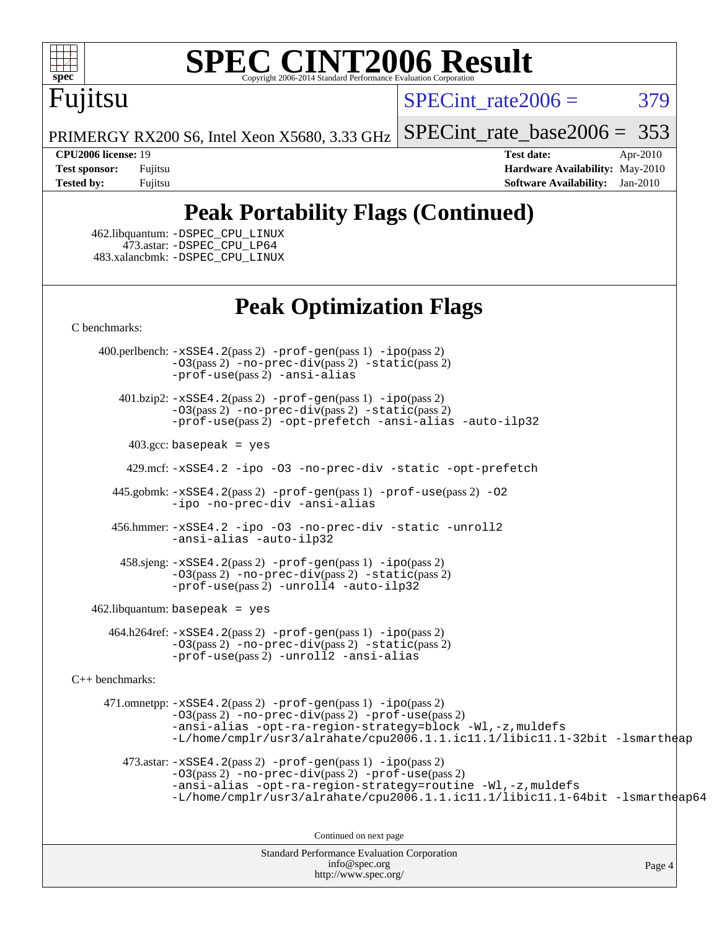

# Fujitsu

 $SPECint rate2006 = 379$ 

PRIMERGY RX200 S6, Intel Xeon X5680, 3.33 GHz [SPECint\\_rate\\_base2006 =](http://www.spec.org/auto/cpu2006/Docs/result-fields.html#SPECintratebase2006) 353

**[CPU2006 license:](http://www.spec.org/auto/cpu2006/Docs/result-fields.html#CPU2006license)** 19 **[Test date:](http://www.spec.org/auto/cpu2006/Docs/result-fields.html#Testdate)** Apr-2010 **[Test sponsor:](http://www.spec.org/auto/cpu2006/Docs/result-fields.html#Testsponsor)** Fujitsu **[Hardware Availability:](http://www.spec.org/auto/cpu2006/Docs/result-fields.html#HardwareAvailability)** May-2010 **[Tested by:](http://www.spec.org/auto/cpu2006/Docs/result-fields.html#Testedby)** Fujitsu **[Software Availability:](http://www.spec.org/auto/cpu2006/Docs/result-fields.html#SoftwareAvailability)** Jan-2010

### **[Peak Portability Flags \(Continued\)](http://www.spec.org/auto/cpu2006/Docs/result-fields.html#PeakPortabilityFlags)**

 462.libquantum: [-DSPEC\\_CPU\\_LINUX](http://www.spec.org/cpu2006/results/res2010q3/cpu2006-20100706-12310.flags.html#b462.libquantum_peakCPORTABILITY_DSPEC_CPU_LINUX) 473.astar: [-DSPEC\\_CPU\\_LP64](http://www.spec.org/cpu2006/results/res2010q3/cpu2006-20100706-12310.flags.html#suite_peakCXXPORTABILITY473_astar_DSPEC_CPU_LP64) 483.xalancbmk: [-DSPEC\\_CPU\\_LINUX](http://www.spec.org/cpu2006/results/res2010q3/cpu2006-20100706-12310.flags.html#b483.xalancbmk_peakCXXPORTABILITY_DSPEC_CPU_LINUX)

#### **[Peak Optimization Flags](http://www.spec.org/auto/cpu2006/Docs/result-fields.html#PeakOptimizationFlags)**

[C benchmarks](http://www.spec.org/auto/cpu2006/Docs/result-fields.html#Cbenchmarks):

 400.perlbench: [-xSSE4.2](http://www.spec.org/cpu2006/results/res2010q3/cpu2006-20100706-12310.flags.html#user_peakPASS2_CFLAGSPASS2_LDCFLAGS400_perlbench_f-xSSE42_f91528193cf0b216347adb8b939d4107)(pass 2) [-prof-gen](http://www.spec.org/cpu2006/results/res2010q3/cpu2006-20100706-12310.flags.html#user_peakPASS1_CFLAGSPASS1_LDCFLAGS400_perlbench_prof_gen_e43856698f6ca7b7e442dfd80e94a8fc)(pass 1) [-ipo](http://www.spec.org/cpu2006/results/res2010q3/cpu2006-20100706-12310.flags.html#user_peakPASS2_CFLAGSPASS2_LDCFLAGS400_perlbench_f-ipo)(pass 2) [-O3](http://www.spec.org/cpu2006/results/res2010q3/cpu2006-20100706-12310.flags.html#user_peakPASS2_CFLAGSPASS2_LDCFLAGS400_perlbench_f-O3)(pass 2) [-no-prec-div](http://www.spec.org/cpu2006/results/res2010q3/cpu2006-20100706-12310.flags.html#user_peakPASS2_CFLAGSPASS2_LDCFLAGS400_perlbench_f-no-prec-div)(pass 2) [-static](http://www.spec.org/cpu2006/results/res2010q3/cpu2006-20100706-12310.flags.html#user_peakPASS2_CFLAGSPASS2_LDCFLAGS400_perlbench_f-static)(pass 2) [-prof-use](http://www.spec.org/cpu2006/results/res2010q3/cpu2006-20100706-12310.flags.html#user_peakPASS2_CFLAGSPASS2_LDCFLAGS400_perlbench_prof_use_bccf7792157ff70d64e32fe3e1250b55)(pass 2) [-ansi-alias](http://www.spec.org/cpu2006/results/res2010q3/cpu2006-20100706-12310.flags.html#user_peakCOPTIMIZE400_perlbench_f-ansi-alias)

 401.bzip2: [-xSSE4.2](http://www.spec.org/cpu2006/results/res2010q3/cpu2006-20100706-12310.flags.html#user_peakPASS2_CFLAGSPASS2_LDCFLAGS401_bzip2_f-xSSE42_f91528193cf0b216347adb8b939d4107)(pass 2) [-prof-gen](http://www.spec.org/cpu2006/results/res2010q3/cpu2006-20100706-12310.flags.html#user_peakPASS1_CFLAGSPASS1_LDCFLAGS401_bzip2_prof_gen_e43856698f6ca7b7e442dfd80e94a8fc)(pass 1) [-ipo](http://www.spec.org/cpu2006/results/res2010q3/cpu2006-20100706-12310.flags.html#user_peakPASS2_CFLAGSPASS2_LDCFLAGS401_bzip2_f-ipo)(pass 2) [-O3](http://www.spec.org/cpu2006/results/res2010q3/cpu2006-20100706-12310.flags.html#user_peakPASS2_CFLAGSPASS2_LDCFLAGS401_bzip2_f-O3)(pass 2) [-no-prec-div](http://www.spec.org/cpu2006/results/res2010q3/cpu2006-20100706-12310.flags.html#user_peakPASS2_CFLAGSPASS2_LDCFLAGS401_bzip2_f-no-prec-div)(pass 2) [-static](http://www.spec.org/cpu2006/results/res2010q3/cpu2006-20100706-12310.flags.html#user_peakPASS2_CFLAGSPASS2_LDCFLAGS401_bzip2_f-static)(pass 2) [-prof-use](http://www.spec.org/cpu2006/results/res2010q3/cpu2006-20100706-12310.flags.html#user_peakPASS2_CFLAGSPASS2_LDCFLAGS401_bzip2_prof_use_bccf7792157ff70d64e32fe3e1250b55)(pass 2) [-opt-prefetch](http://www.spec.org/cpu2006/results/res2010q3/cpu2006-20100706-12310.flags.html#user_peakCOPTIMIZE401_bzip2_f-opt-prefetch) [-ansi-alias](http://www.spec.org/cpu2006/results/res2010q3/cpu2006-20100706-12310.flags.html#user_peakCOPTIMIZE401_bzip2_f-ansi-alias) [-auto-ilp32](http://www.spec.org/cpu2006/results/res2010q3/cpu2006-20100706-12310.flags.html#user_peakCOPTIMIZE401_bzip2_f-auto-ilp32)

 $403.\text{gcc: basepeak}$  = yes

429.mcf: [-xSSE4.2](http://www.spec.org/cpu2006/results/res2010q3/cpu2006-20100706-12310.flags.html#user_peakCOPTIMIZE429_mcf_f-xSSE42_f91528193cf0b216347adb8b939d4107) [-ipo](http://www.spec.org/cpu2006/results/res2010q3/cpu2006-20100706-12310.flags.html#user_peakCOPTIMIZE429_mcf_f-ipo) [-O3](http://www.spec.org/cpu2006/results/res2010q3/cpu2006-20100706-12310.flags.html#user_peakCOPTIMIZE429_mcf_f-O3) [-no-prec-div](http://www.spec.org/cpu2006/results/res2010q3/cpu2006-20100706-12310.flags.html#user_peakCOPTIMIZE429_mcf_f-no-prec-div) [-static](http://www.spec.org/cpu2006/results/res2010q3/cpu2006-20100706-12310.flags.html#user_peakCOPTIMIZE429_mcf_f-static) [-opt-prefetch](http://www.spec.org/cpu2006/results/res2010q3/cpu2006-20100706-12310.flags.html#user_peakCOPTIMIZE429_mcf_f-opt-prefetch)

 445.gobmk: [-xSSE4.2](http://www.spec.org/cpu2006/results/res2010q3/cpu2006-20100706-12310.flags.html#user_peakPASS2_CFLAGSPASS2_LDCFLAGS445_gobmk_f-xSSE42_f91528193cf0b216347adb8b939d4107)(pass 2) [-prof-gen](http://www.spec.org/cpu2006/results/res2010q3/cpu2006-20100706-12310.flags.html#user_peakPASS1_CFLAGSPASS1_LDCFLAGS445_gobmk_prof_gen_e43856698f6ca7b7e442dfd80e94a8fc)(pass 1) [-prof-use](http://www.spec.org/cpu2006/results/res2010q3/cpu2006-20100706-12310.flags.html#user_peakPASS2_CFLAGSPASS2_LDCFLAGS445_gobmk_prof_use_bccf7792157ff70d64e32fe3e1250b55)(pass 2) [-O2](http://www.spec.org/cpu2006/results/res2010q3/cpu2006-20100706-12310.flags.html#user_peakCOPTIMIZE445_gobmk_f-O2) [-ipo](http://www.spec.org/cpu2006/results/res2010q3/cpu2006-20100706-12310.flags.html#user_peakCOPTIMIZE445_gobmk_f-ipo) [-no-prec-div](http://www.spec.org/cpu2006/results/res2010q3/cpu2006-20100706-12310.flags.html#user_peakCOPTIMIZE445_gobmk_f-no-prec-div) [-ansi-alias](http://www.spec.org/cpu2006/results/res2010q3/cpu2006-20100706-12310.flags.html#user_peakCOPTIMIZE445_gobmk_f-ansi-alias)

 456.hmmer: [-xSSE4.2](http://www.spec.org/cpu2006/results/res2010q3/cpu2006-20100706-12310.flags.html#user_peakCOPTIMIZE456_hmmer_f-xSSE42_f91528193cf0b216347adb8b939d4107) [-ipo](http://www.spec.org/cpu2006/results/res2010q3/cpu2006-20100706-12310.flags.html#user_peakCOPTIMIZE456_hmmer_f-ipo) [-O3](http://www.spec.org/cpu2006/results/res2010q3/cpu2006-20100706-12310.flags.html#user_peakCOPTIMIZE456_hmmer_f-O3) [-no-prec-div](http://www.spec.org/cpu2006/results/res2010q3/cpu2006-20100706-12310.flags.html#user_peakCOPTIMIZE456_hmmer_f-no-prec-div) [-static](http://www.spec.org/cpu2006/results/res2010q3/cpu2006-20100706-12310.flags.html#user_peakCOPTIMIZE456_hmmer_f-static) [-unroll2](http://www.spec.org/cpu2006/results/res2010q3/cpu2006-20100706-12310.flags.html#user_peakCOPTIMIZE456_hmmer_f-unroll_784dae83bebfb236979b41d2422d7ec2) [-ansi-alias](http://www.spec.org/cpu2006/results/res2010q3/cpu2006-20100706-12310.flags.html#user_peakCOPTIMIZE456_hmmer_f-ansi-alias) [-auto-ilp32](http://www.spec.org/cpu2006/results/res2010q3/cpu2006-20100706-12310.flags.html#user_peakCOPTIMIZE456_hmmer_f-auto-ilp32)

 458.sjeng: [-xSSE4.2](http://www.spec.org/cpu2006/results/res2010q3/cpu2006-20100706-12310.flags.html#user_peakPASS2_CFLAGSPASS2_LDCFLAGS458_sjeng_f-xSSE42_f91528193cf0b216347adb8b939d4107)(pass 2) [-prof-gen](http://www.spec.org/cpu2006/results/res2010q3/cpu2006-20100706-12310.flags.html#user_peakPASS1_CFLAGSPASS1_LDCFLAGS458_sjeng_prof_gen_e43856698f6ca7b7e442dfd80e94a8fc)(pass 1) [-ipo](http://www.spec.org/cpu2006/results/res2010q3/cpu2006-20100706-12310.flags.html#user_peakPASS2_CFLAGSPASS2_LDCFLAGS458_sjeng_f-ipo)(pass 2) [-O3](http://www.spec.org/cpu2006/results/res2010q3/cpu2006-20100706-12310.flags.html#user_peakPASS2_CFLAGSPASS2_LDCFLAGS458_sjeng_f-O3)(pass 2) [-no-prec-div](http://www.spec.org/cpu2006/results/res2010q3/cpu2006-20100706-12310.flags.html#user_peakPASS2_CFLAGSPASS2_LDCFLAGS458_sjeng_f-no-prec-div)(pass 2) [-static](http://www.spec.org/cpu2006/results/res2010q3/cpu2006-20100706-12310.flags.html#user_peakPASS2_CFLAGSPASS2_LDCFLAGS458_sjeng_f-static)(pass 2)  $-prof-use(pass 2) -unroll4 -auto-ilp32$  $-prof-use(pass 2) -unroll4 -auto-ilp32$  $-prof-use(pass 2) -unroll4 -auto-ilp32$  $-prof-use(pass 2) -unroll4 -auto-ilp32$  $-prof-use(pass 2) -unroll4 -auto-ilp32$ 

462.libquantum: basepeak = yes

 464.h264ref: [-xSSE4.2](http://www.spec.org/cpu2006/results/res2010q3/cpu2006-20100706-12310.flags.html#user_peakPASS2_CFLAGSPASS2_LDCFLAGS464_h264ref_f-xSSE42_f91528193cf0b216347adb8b939d4107)(pass 2) [-prof-gen](http://www.spec.org/cpu2006/results/res2010q3/cpu2006-20100706-12310.flags.html#user_peakPASS1_CFLAGSPASS1_LDCFLAGS464_h264ref_prof_gen_e43856698f6ca7b7e442dfd80e94a8fc)(pass 1) [-ipo](http://www.spec.org/cpu2006/results/res2010q3/cpu2006-20100706-12310.flags.html#user_peakPASS2_CFLAGSPASS2_LDCFLAGS464_h264ref_f-ipo)(pass 2) [-O3](http://www.spec.org/cpu2006/results/res2010q3/cpu2006-20100706-12310.flags.html#user_peakPASS2_CFLAGSPASS2_LDCFLAGS464_h264ref_f-O3)(pass 2) [-no-prec-div](http://www.spec.org/cpu2006/results/res2010q3/cpu2006-20100706-12310.flags.html#user_peakPASS2_CFLAGSPASS2_LDCFLAGS464_h264ref_f-no-prec-div)(pass 2) [-static](http://www.spec.org/cpu2006/results/res2010q3/cpu2006-20100706-12310.flags.html#user_peakPASS2_CFLAGSPASS2_LDCFLAGS464_h264ref_f-static)(pass 2) [-prof-use](http://www.spec.org/cpu2006/results/res2010q3/cpu2006-20100706-12310.flags.html#user_peakPASS2_CFLAGSPASS2_LDCFLAGS464_h264ref_prof_use_bccf7792157ff70d64e32fe3e1250b55)(pass 2) [-unroll2](http://www.spec.org/cpu2006/results/res2010q3/cpu2006-20100706-12310.flags.html#user_peakCOPTIMIZE464_h264ref_f-unroll_784dae83bebfb236979b41d2422d7ec2) [-ansi-alias](http://www.spec.org/cpu2006/results/res2010q3/cpu2006-20100706-12310.flags.html#user_peakCOPTIMIZE464_h264ref_f-ansi-alias)

[C++ benchmarks:](http://www.spec.org/auto/cpu2006/Docs/result-fields.html#CXXbenchmarks)

 471.omnetpp: [-xSSE4.2](http://www.spec.org/cpu2006/results/res2010q3/cpu2006-20100706-12310.flags.html#user_peakPASS2_CXXFLAGSPASS2_LDCXXFLAGS471_omnetpp_f-xSSE42_f91528193cf0b216347adb8b939d4107)(pass 2) [-prof-gen](http://www.spec.org/cpu2006/results/res2010q3/cpu2006-20100706-12310.flags.html#user_peakPASS1_CXXFLAGSPASS1_LDCXXFLAGS471_omnetpp_prof_gen_e43856698f6ca7b7e442dfd80e94a8fc)(pass 1) [-ipo](http://www.spec.org/cpu2006/results/res2010q3/cpu2006-20100706-12310.flags.html#user_peakPASS2_CXXFLAGSPASS2_LDCXXFLAGS471_omnetpp_f-ipo)(pass 2) [-O3](http://www.spec.org/cpu2006/results/res2010q3/cpu2006-20100706-12310.flags.html#user_peakPASS2_CXXFLAGSPASS2_LDCXXFLAGS471_omnetpp_f-O3)(pass 2) [-no-prec-div](http://www.spec.org/cpu2006/results/res2010q3/cpu2006-20100706-12310.flags.html#user_peakPASS2_CXXFLAGSPASS2_LDCXXFLAGS471_omnetpp_f-no-prec-div)(pass 2) [-prof-use](http://www.spec.org/cpu2006/results/res2010q3/cpu2006-20100706-12310.flags.html#user_peakPASS2_CXXFLAGSPASS2_LDCXXFLAGS471_omnetpp_prof_use_bccf7792157ff70d64e32fe3e1250b55)(pass 2) [-ansi-alias](http://www.spec.org/cpu2006/results/res2010q3/cpu2006-20100706-12310.flags.html#user_peakCXXOPTIMIZE471_omnetpp_f-ansi-alias) [-opt-ra-region-strategy=block](http://www.spec.org/cpu2006/results/res2010q3/cpu2006-20100706-12310.flags.html#user_peakCXXOPTIMIZE471_omnetpp_f-opt-ra-region-strategy-block_a0a37c372d03933b2a18d4af463c1f69) [-Wl,-z,muldefs](http://www.spec.org/cpu2006/results/res2010q3/cpu2006-20100706-12310.flags.html#user_peakEXTRA_LDFLAGS471_omnetpp_link_force_multiple1_74079c344b956b9658436fd1b6dd3a8a) [-L/home/cmplr/usr3/alrahate/cpu2006.1.1.ic11.1/libic11.1-32bit -lsmartheap](http://www.spec.org/cpu2006/results/res2010q3/cpu2006-20100706-12310.flags.html#user_peakEXTRA_LIBS471_omnetpp_SmartHeap_d86dffe4a79b79ef8890d5cce17030c3)

473.astar:  $-xSSE4$ . 2(pass 2)  $-prof-gen(pass 1) -ipo(pass 2)$  $-prof-gen(pass 1) -ipo(pass 2)$  $-prof-gen(pass 1) -ipo(pass 2)$  $-prof-gen(pass 1) -ipo(pass 2)$ [-O3](http://www.spec.org/cpu2006/results/res2010q3/cpu2006-20100706-12310.flags.html#user_peakPASS2_CXXFLAGSPASS2_LDCXXFLAGS473_astar_f-O3)(pass 2) [-no-prec-div](http://www.spec.org/cpu2006/results/res2010q3/cpu2006-20100706-12310.flags.html#user_peakPASS2_CXXFLAGSPASS2_LDCXXFLAGS473_astar_f-no-prec-div)(pass 2) [-prof-use](http://www.spec.org/cpu2006/results/res2010q3/cpu2006-20100706-12310.flags.html#user_peakPASS2_CXXFLAGSPASS2_LDCXXFLAGS473_astar_prof_use_bccf7792157ff70d64e32fe3e1250b55)(pass 2) [-ansi-alias](http://www.spec.org/cpu2006/results/res2010q3/cpu2006-20100706-12310.flags.html#user_peakCXXOPTIMIZE473_astar_f-ansi-alias) [-opt-ra-region-strategy=routine](http://www.spec.org/cpu2006/results/res2010q3/cpu2006-20100706-12310.flags.html#user_peakCXXOPTIMIZE473_astar_f-opt-ra-region-strategy-routine_ba086ea3b1d46a52e1238e2ca173ed44) [-Wl,-z,muldefs](http://www.spec.org/cpu2006/results/res2010q3/cpu2006-20100706-12310.flags.html#user_peakEXTRA_LDFLAGS473_astar_link_force_multiple1_74079c344b956b9658436fd1b6dd3a8a) [-L/home/cmplr/usr3/alrahate/cpu2006.1.1.ic11.1/libic11.1-64bit -lsmartheap64](http://www.spec.org/cpu2006/results/res2010q3/cpu2006-20100706-12310.flags.html#user_peakEXTRA_LIBS473_astar_SmartHeap64_e2306cda84805d1ab360117a79ff779c)

Continued on next page

Standard Performance Evaluation Corporation [info@spec.org](mailto:info@spec.org) <http://www.spec.org/>

Page 4